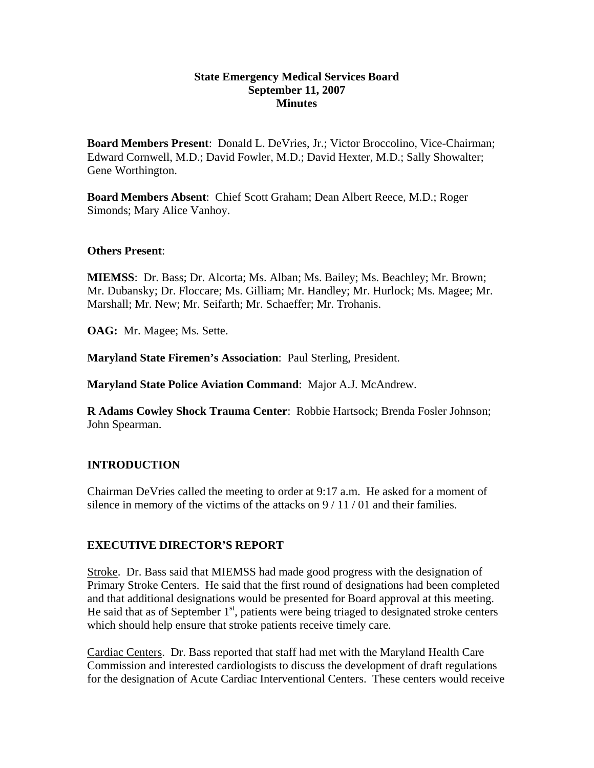### **State Emergency Medical Services Board September 11, 2007 Minutes**

**Board Members Present**: Donald L. DeVries, Jr.; Victor Broccolino, Vice-Chairman; Edward Cornwell, M.D.; David Fowler, M.D.; David Hexter, M.D.; Sally Showalter; Gene Worthington.

**Board Members Absent**: Chief Scott Graham; Dean Albert Reece, M.D.; Roger Simonds; Mary Alice Vanhoy.

### **Others Present**:

**MIEMSS**: Dr. Bass; Dr. Alcorta; Ms. Alban; Ms. Bailey; Ms. Beachley; Mr. Brown; Mr. Dubansky; Dr. Floccare; Ms. Gilliam; Mr. Handley; Mr. Hurlock; Ms. Magee; Mr. Marshall; Mr. New; Mr. Seifarth; Mr. Schaeffer; Mr. Trohanis.

**OAG:** Mr. Magee; Ms. Sette.

**Maryland State Firemen's Association**: Paul Sterling, President.

**Maryland State Police Aviation Command**: Major A.J. McAndrew.

**R Adams Cowley Shock Trauma Center**: Robbie Hartsock; Brenda Fosler Johnson; John Spearman.

# **INTRODUCTION**

Chairman DeVries called the meeting to order at 9:17 a.m. He asked for a moment of silence in memory of the victims of the attacks on 9 / 11 / 01 and their families.

# **EXECUTIVE DIRECTOR'S REPORT**

Stroke. Dr. Bass said that MIEMSS had made good progress with the designation of Primary Stroke Centers. He said that the first round of designations had been completed and that additional designations would be presented for Board approval at this meeting. He said that as of September  $1<sup>st</sup>$ , patients were being triaged to designated stroke centers which should help ensure that stroke patients receive timely care.

Cardiac Centers. Dr. Bass reported that staff had met with the Maryland Health Care Commission and interested cardiologists to discuss the development of draft regulations for the designation of Acute Cardiac Interventional Centers. These centers would receive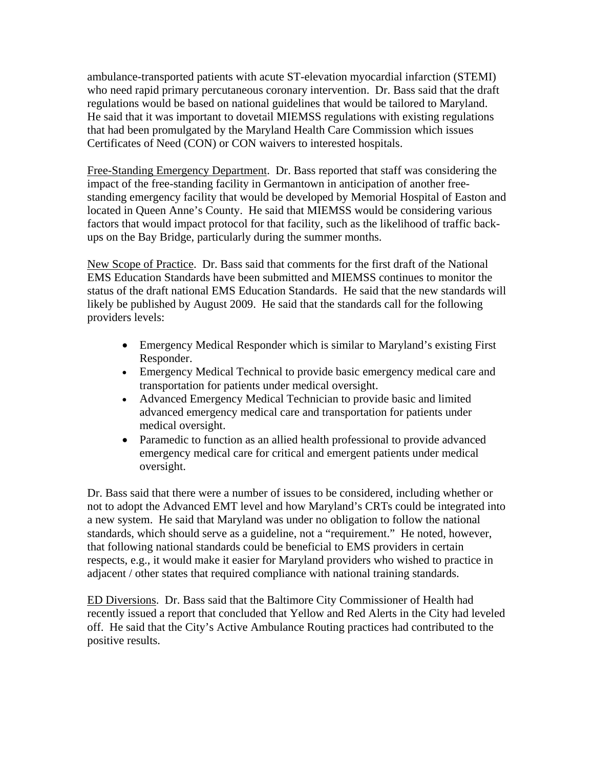ambulance-transported patients with acute ST-elevation myocardial infarction (STEMI) who need rapid primary percutaneous coronary intervention. Dr. Bass said that the draft regulations would be based on national guidelines that would be tailored to Maryland. He said that it was important to dovetail MIEMSS regulations with existing regulations that had been promulgated by the Maryland Health Care Commission which issues Certificates of Need (CON) or CON waivers to interested hospitals.

Free-Standing Emergency Department. Dr. Bass reported that staff was considering the impact of the free-standing facility in Germantown in anticipation of another freestanding emergency facility that would be developed by Memorial Hospital of Easton and located in Queen Anne's County. He said that MIEMSS would be considering various factors that would impact protocol for that facility, such as the likelihood of traffic backups on the Bay Bridge, particularly during the summer months.

New Scope of Practice. Dr. Bass said that comments for the first draft of the National EMS Education Standards have been submitted and MIEMSS continues to monitor the status of the draft national EMS Education Standards. He said that the new standards will likely be published by August 2009. He said that the standards call for the following providers levels:

- Emergency Medical Responder which is similar to Maryland's existing First Responder.
- Emergency Medical Technical to provide basic emergency medical care and transportation for patients under medical oversight.
- Advanced Emergency Medical Technician to provide basic and limited advanced emergency medical care and transportation for patients under medical oversight.
- Paramedic to function as an allied health professional to provide advanced emergency medical care for critical and emergent patients under medical oversight.

Dr. Bass said that there were a number of issues to be considered, including whether or not to adopt the Advanced EMT level and how Maryland's CRTs could be integrated into a new system. He said that Maryland was under no obligation to follow the national standards, which should serve as a guideline, not a "requirement." He noted, however, that following national standards could be beneficial to EMS providers in certain respects, e.g., it would make it easier for Maryland providers who wished to practice in adjacent / other states that required compliance with national training standards.

ED Diversions. Dr. Bass said that the Baltimore City Commissioner of Health had recently issued a report that concluded that Yellow and Red Alerts in the City had leveled off. He said that the City's Active Ambulance Routing practices had contributed to the positive results.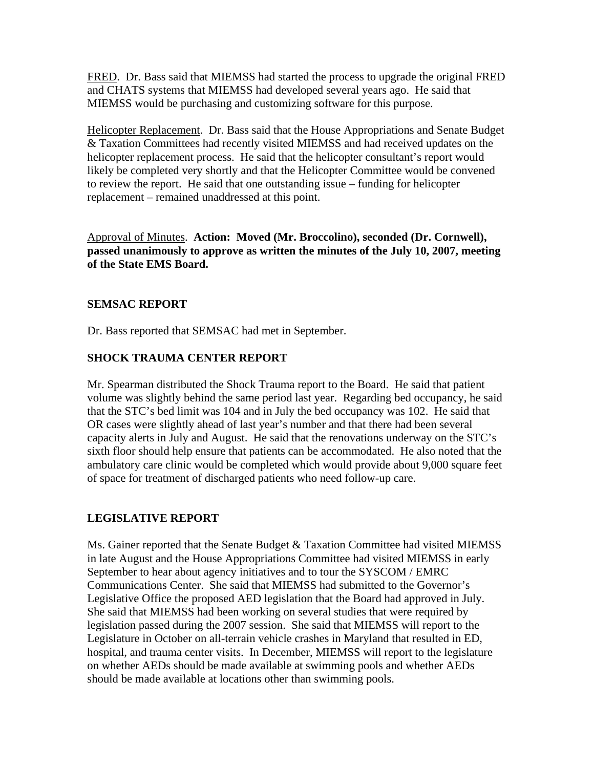FRED. Dr. Bass said that MIEMSS had started the process to upgrade the original FRED and CHATS systems that MIEMSS had developed several years ago. He said that MIEMSS would be purchasing and customizing software for this purpose.

Helicopter Replacement. Dr. Bass said that the House Appropriations and Senate Budget & Taxation Committees had recently visited MIEMSS and had received updates on the helicopter replacement process. He said that the helicopter consultant's report would likely be completed very shortly and that the Helicopter Committee would be convened to review the report. He said that one outstanding issue – funding for helicopter replacement – remained unaddressed at this point.

Approval of Minutes. **Action: Moved (Mr. Broccolino), seconded (Dr. Cornwell), passed unanimously to approve as written the minutes of the July 10, 2007, meeting of the State EMS Board.** 

#### **SEMSAC REPORT**

Dr. Bass reported that SEMSAC had met in September.

# **SHOCK TRAUMA CENTER REPORT**

Mr. Spearman distributed the Shock Trauma report to the Board. He said that patient volume was slightly behind the same period last year. Regarding bed occupancy, he said that the STC's bed limit was 104 and in July the bed occupancy was 102. He said that OR cases were slightly ahead of last year's number and that there had been several capacity alerts in July and August. He said that the renovations underway on the STC's sixth floor should help ensure that patients can be accommodated. He also noted that the ambulatory care clinic would be completed which would provide about 9,000 square feet of space for treatment of discharged patients who need follow-up care.

# **LEGISLATIVE REPORT**

Ms. Gainer reported that the Senate Budget & Taxation Committee had visited MIEMSS in late August and the House Appropriations Committee had visited MIEMSS in early September to hear about agency initiatives and to tour the SYSCOM / EMRC Communications Center. She said that MIEMSS had submitted to the Governor's Legislative Office the proposed AED legislation that the Board had approved in July. She said that MIEMSS had been working on several studies that were required by legislation passed during the 2007 session. She said that MIEMSS will report to the Legislature in October on all-terrain vehicle crashes in Maryland that resulted in ED, hospital, and trauma center visits. In December, MIEMSS will report to the legislature on whether AEDs should be made available at swimming pools and whether AEDs should be made available at locations other than swimming pools.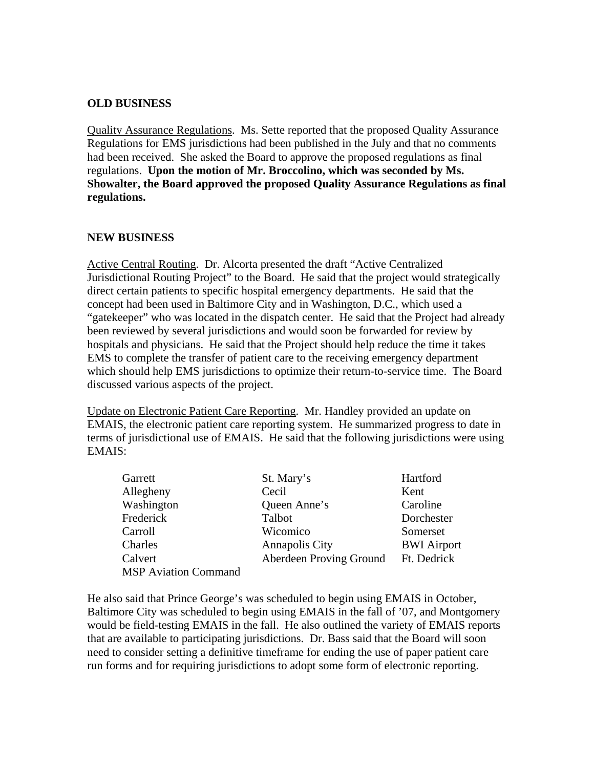### **OLD BUSINESS**

Quality Assurance Regulations. Ms. Sette reported that the proposed Quality Assurance Regulations for EMS jurisdictions had been published in the July and that no comments had been received. She asked the Board to approve the proposed regulations as final regulations. **Upon the motion of Mr. Broccolino, which was seconded by Ms. Showalter, the Board approved the proposed Quality Assurance Regulations as final regulations.** 

#### **NEW BUSINESS**

Active Central Routing. Dr. Alcorta presented the draft "Active Centralized Jurisdictional Routing Project" to the Board. He said that the project would strategically direct certain patients to specific hospital emergency departments. He said that the concept had been used in Baltimore City and in Washington, D.C., which used a "gatekeeper" who was located in the dispatch center. He said that the Project had already been reviewed by several jurisdictions and would soon be forwarded for review by hospitals and physicians. He said that the Project should help reduce the time it takes EMS to complete the transfer of patient care to the receiving emergency department which should help EMS jurisdictions to optimize their return-to-service time. The Board discussed various aspects of the project.

Update on Electronic Patient Care Reporting. Mr. Handley provided an update on EMAIS, the electronic patient care reporting system. He summarized progress to date in terms of jurisdictional use of EMAIS. He said that the following jurisdictions were using EMAIS:

| Garrett                     | St. Mary's              | Hartford           |
|-----------------------------|-------------------------|--------------------|
| Allegheny                   | Cecil                   | Kent               |
| Washington                  | Queen Anne's            | Caroline           |
| Frederick                   | Talbot                  | Dorchester         |
| Carroll                     | Wicomico                | Somerset           |
| Charles                     | <b>Annapolis City</b>   | <b>BWI</b> Airport |
| Calvert                     | Aberdeen Proving Ground | Ft. Dedrick        |
| <b>MSP Aviation Command</b> |                         |                    |

He also said that Prince George's was scheduled to begin using EMAIS in October, Baltimore City was scheduled to begin using EMAIS in the fall of '07, and Montgomery would be field-testing EMAIS in the fall. He also outlined the variety of EMAIS reports that are available to participating jurisdictions. Dr. Bass said that the Board will soon need to consider setting a definitive timeframe for ending the use of paper patient care run forms and for requiring jurisdictions to adopt some form of electronic reporting.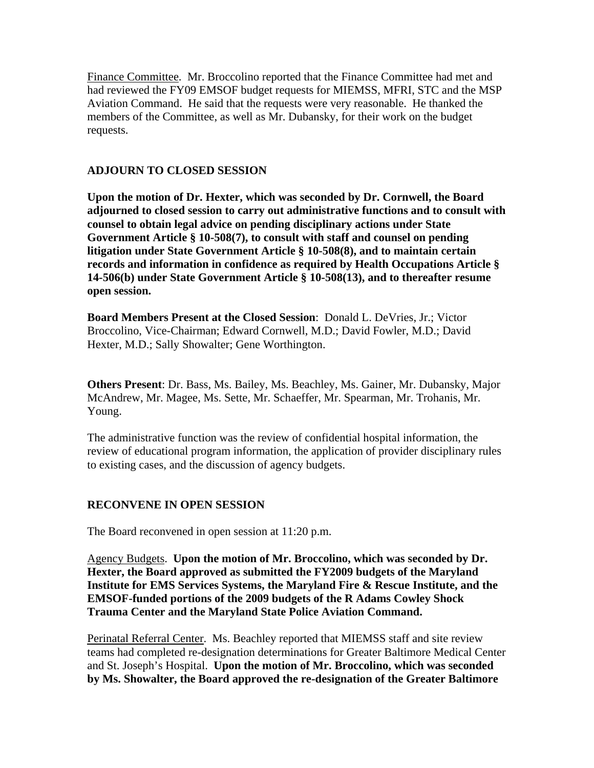Finance Committee. Mr. Broccolino reported that the Finance Committee had met and had reviewed the FY09 EMSOF budget requests for MIEMSS, MFRI, STC and the MSP Aviation Command. He said that the requests were very reasonable. He thanked the members of the Committee, as well as Mr. Dubansky, for their work on the budget requests.

### **ADJOURN TO CLOSED SESSION**

**Upon the motion of Dr. Hexter, which was seconded by Dr. Cornwell, the Board adjourned to closed session to carry out administrative functions and to consult with counsel to obtain legal advice on pending disciplinary actions under State Government Article § 10-508(7), to consult with staff and counsel on pending litigation under State Government Article § 10-508(8), and to maintain certain records and information in confidence as required by Health Occupations Article § 14-506(b) under State Government Article § 10-508(13), and to thereafter resume open session.** 

**Board Members Present at the Closed Session**: Donald L. DeVries, Jr.; Victor Broccolino, Vice-Chairman; Edward Cornwell, M.D.; David Fowler, M.D.; David Hexter, M.D.; Sally Showalter; Gene Worthington.

**Others Present**: Dr. Bass, Ms. Bailey, Ms. Beachley, Ms. Gainer, Mr. Dubansky, Major McAndrew, Mr. Magee, Ms. Sette, Mr. Schaeffer, Mr. Spearman, Mr. Trohanis, Mr. Young.

The administrative function was the review of confidential hospital information, the review of educational program information, the application of provider disciplinary rules to existing cases, and the discussion of agency budgets.

#### **RECONVENE IN OPEN SESSION**

The Board reconvened in open session at 11:20 p.m.

Agency Budgets. **Upon the motion of Mr. Broccolino, which was seconded by Dr. Hexter, the Board approved as submitted the FY2009 budgets of the Maryland Institute for EMS Services Systems, the Maryland Fire & Rescue Institute, and the EMSOF-funded portions of the 2009 budgets of the R Adams Cowley Shock Trauma Center and the Maryland State Police Aviation Command.** 

Perinatal Referral Center. Ms. Beachley reported that MIEMSS staff and site review teams had completed re-designation determinations for Greater Baltimore Medical Center and St. Joseph's Hospital. **Upon the motion of Mr. Broccolino, which was seconded by Ms. Showalter, the Board approved the re-designation of the Greater Baltimore**